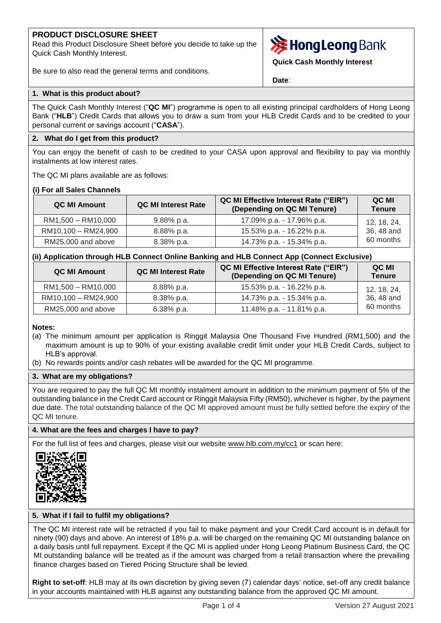# **PRODUCT DISCLOSURE SHEET**

Read this Product Disclosure Sheet before you decide to take up the Quick Cash Monthly Interest.

Be sure to also read the general terms and conditions.



**Quick Cash Monthly Interest**

**Date**:

# **1. What is this product about?**

The Quick Cash Monthly Interest ("**QC MI**") programme is open to all existing principal cardholders of Hong Leong Bank ("**HLB**") Credit Cards that allows you to draw a sum from your HLB Credit Cards and to be credited to your personal current or savings account ("**CASA**").

# **2. What do I get from this product?**

You can enjoy the benefit of cash to be credited to your CASA upon approval and flexibility to pay via monthly instalments at low interest rates.

The QC MI plans available are as follows:

#### **(i) For all Sales Channels**

| QC MI Amount        | <b>QC MI Interest Rate</b> | QC MI Effective Interest Rate ("EIR")<br>(Depending on QC MI Tenure) | QC MI<br><b>Tenure</b> |
|---------------------|----------------------------|----------------------------------------------------------------------|------------------------|
| RM1,500 - RM10,000  | 9.88% p.a.                 | 17.09% p.a. - 17.96% p.a.                                            | 12, 18, 24,            |
| RM10,100 - RM24,900 | 8.88% p.a.                 | 15.53% p.a. - 16.22% p.a.                                            | 36, 48 and             |
| RM25,000 and above  | 8.38% p.a.                 | 14.73% p.a. - 15.34% p.a.                                            | 60 months              |

# **(ii) Application through HLB Connect Online Banking and HLB Connect App (Connect Exclusive)**

| <b>QC MI Amount</b> | <b>QC MI Interest Rate</b> | <b>QC MI Effective Interest Rate ("EIR")</b><br>(Depending on QC MI Tenure) | QC MI<br><b>Tenure</b> |
|---------------------|----------------------------|-----------------------------------------------------------------------------|------------------------|
| RM1,500 - RM10,000  | $8.88\%$ p.a.              | 15.53% p.a. - 16.22% p.a.                                                   | 12, 18, 24,            |
| RM10,100 - RM24,900 | $8.38\%$ p.a.              | 14.73% p.a. - 15.34% p.a.                                                   | 36, 48 and             |
| RM25,000 and above  | $6.38\%$ p.a.              | 11.48% p.a. - 11.81% p.a.                                                   | 60 months              |

#### **Notes:**

- (a) The minimum amount per application is Ringgit Malaysia One Thousand Five Hundred (RM1,500) and the maximum amount is up to 90% of your existing available credit limit under your HLB Credit Cards, subject to HLB's approval.
- (b) No rewards points and/or cash rebates will be awarded for the QC MI programme.

#### **3. What are my obligations?**

You are required to pay the full QC MI monthly instalment amount in addition to the minimum payment of 5% of the outstanding balance in the Credit Card account or Ringgit Malaysia Fifty (RM50), whichever is higher, by the payment due date. The total outstanding balance of the QC MI approved amount must be fully settled before the expiry of the QC MI tenure.

#### **4. What are the fees and charges I have to pay?**

For the full list of fees and charges, please visit our website [www.hlb.com.my/cc1](https://www.hlb.com.my/en/personal-banking/help-support/fees-and-charges/credit-cards.html) or scan here:



# **5. What if I fail to fulfil my obligations?**

The QC MI interest rate will be retracted if you fail to make payment and your Credit Card account is in default for ninety (90) days and above. An interest of 18% p.a. will be charged on the remaining QC MI outstanding balance on a daily basis until full repayment. Except if the QC MI is applied under Hong Leong Platinum Business Card, the QC MI outstanding balance will be treated as if the amount was charged from a retail transaction where the prevailing finance charges based on Tiered Pricing Structure shall be levied.

**Right to set-off**: HLB may at its own discretion by giving seven (7) calendar days' notice, set-off any credit balance in your accounts maintained with HLB against any outstanding balance from the approved QC MI amount.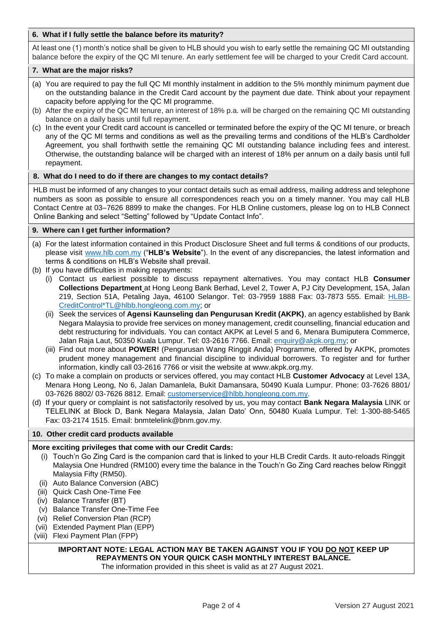### **6. What if I fully settle the balance before its maturity?**

At least one (1) month's notice shall be given to HLB should you wish to early settle the remaining QC MI outstanding balance before the expiry of the QC MI tenure. An early settlement fee will be charged to your Credit Card account.

#### **7. What are the major risks?**

- (a) You are required to pay the full QC MI monthly instalment in addition to the 5% monthly minimum payment due on the outstanding balance in the Credit Card account by the payment due date. Think about your repayment capacity before applying for the QC MI programme.
- (b) After the expiry of the QC MI tenure, an interest of 18% p.a. will be charged on the remaining QC MI outstanding balance on a daily basis until full repayment.
- (c) In the event your Credit card account is cancelled or terminated before the expiry of the QC MI tenure, or breach any of the QC MI terms and conditions as well as the prevailing terms and conditions of the HLB's Cardholder Agreement, you shall forthwith settle the remaining QC MI outstanding balance including fees and interest. Otherwise, the outstanding balance will be charged with an interest of 18% per annum on a daily basis until full repayment.

#### **8. What do I need to do if there are changes to my contact details?**

HLB must be informed of any changes to your contact details such as email address, mailing address and telephone numbers as soon as possible to ensure all correspondences reach you on a timely manner. You may call HLB Contact Centre at 03–7626 8899 to make the changes. For HLB Online customers, please log on to HLB Connect Online Banking and select "Setting" followed by "Update Contact Info".

#### **9. Where can I get further information?**

- (a) For the latest information contained in this Product Disclosure Sheet and full terms & conditions of our products, please visit [www.hlb.com.my](http://www.hlb.com.my/) ("**HLB's Website**"). In the event of any discrepancies, the latest information and terms & conditions on HLB's Website shall prevail.
- (b) If you have difficulties in making repayments:
	- (i) Contact us earliest possible to discuss repayment alternatives. You may contact HLB **Consumer Collections Department** at Hong Leong Bank Berhad, Level 2, Tower A, PJ City Development, 15A, Jalan 219, Section 51A, Petaling Jaya, 46100 Selangor. Tel: 03-7959 1888 Fax: 03-7873 555. Email: [HLBB-](mailto:HLBB-CreditControl*TL@hlbb.hongleong.com.my)[CreditControl\\*TL@hlbb.hongleong.com.my;](mailto:HLBB-CreditControl*TL@hlbb.hongleong.com.my) or
	- (ii) Seek the services of **Agensi Kaunseling dan Pengurusan Kredit (AKPK)**, an agency established by Bank Negara Malaysia to provide free services on money management, credit counselling, financial education and debt restructuring for individuals. You can contact AKPK at Level 5 and 6, Menara Bumiputera Commerce, Jalan Raja Laut, 50350 Kuala Lumpur. Tel: 03-2616 7766. Email: [enquiry@akpk.org.my;](mailto:enquiry@akpk.org.my) or
	- (iii) Find out more about **POWER!** (Pengurusan Wang Ringgit Anda) Programme, offered by AKPK, promotes prudent money management and financial discipline to individual borrowers. To register and for further information, kindly call 03-2616 7766 or visit the website at www.akpk.org.my.
- (c) To make a complain on products or services offered, you may contact HLB **Customer Advocacy** at Level 13A, Menara Hong Leong, No 6, Jalan Damanlela, Bukit Damansara, 50490 Kuala Lumpur. Phone: 03-7626 8801/ 03-7626 8802/ 03-7626 8812. Email: [customerservice@hlbb.hongleong.com.my.](mailto:customerservice@hlbb.hongleong.com.my)
- (d) If your query or complaint is not satisfactorily resolved by us, you may contact **Bank Negara Malaysia** LINK or TELELINK at Block D, Bank Negara Malaysia, Jalan Dato' Onn, 50480 Kuala Lumpur. Tel: 1-300-88-5465 Fax: 03-2174 1515. Email: bnmtelelink@bnm.gov.my.

#### **10. Other credit card products available**

#### **More exciting privileges that come with our Credit Cards:**

- (i) Touch'n Go Zing Card is the companion card that is linked to your HLB Credit Cards. It auto-reloads Ringgit Malaysia One Hundred (RM100) every time the balance in the Touch'n Go Zing Card reaches below Ringgit Malaysia Fifty (RM50).
- (ii) Auto Balance Conversion (ABC)
- (iii) Quick Cash One-Time Fee
- (iv) Balance Transfer (BT)
- (v) Balance Transfer One-Time Fee
- (vi) Relief Conversion Plan (RCP)
- (vii) Extended Payment Plan (EPP)
- (viii) Flexi Payment Plan (FPP)

# **IMPORTANT NOTE: LEGAL ACTION MAY BE TAKEN AGAINST YOU IF YOU DO NOT KEEP UP REPAYMENTS ON YOUR QUICK CASH MONTHLY INTEREST BALANCE.**

The information provided in this sheet is valid as at 27 August 2021.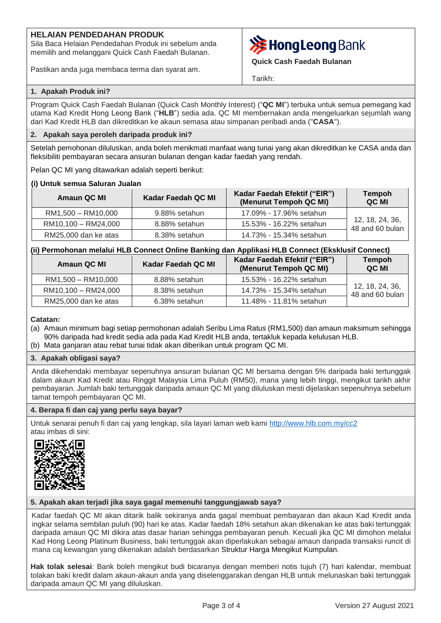# **HELAIAN PENDEDAHAN PRODUK**

Sila Baca Helaian Pendedahan Produk ini sebelum anda memilih and melanggani Quick Cash Faedah Bulanan.

Pastikan anda juga membaca terma dan syarat am.



**Quick Cash Faedah Bulanan**

Tarikh:

### **1. Apakah Produk ini?**

Program Quick Cash Faedah Bulanan (Quick Cash Monthly Interest) ("**QC MI**") terbuka untuk semua pemegang kad utama Kad Kredit Hong Leong Bank ("**HLB**") sedia ada. QC MI membernakan anda mengeluarkan sejumlah wang dari Kad Kredit HLB dan dikreditkan ke akaun semasa atau simpanan peribadi anda ("**CASA**").

### **2. Apakah saya peroleh daripada produk ini?**

Setelah pemohonan diluluskan, anda boleh menikmati manfaat wang tunai yang akan dikreditkan ke CASA anda dan fleksibiliti pembayaran secara ansuran bulanan dengan kadar faedah yang rendah.

Pelan QC MI yang ditawarkan adalah seperti berikut:

#### **(i) Untuk semua Saluran Jualan**

| Amaun QC MI          | Kadar Faedah QC MI | Kadar Faedah Efektif ("EIR")<br>(Menurut Tempoh QC MI) | <b>Tempoh</b><br>QC MI             |
|----------------------|--------------------|--------------------------------------------------------|------------------------------------|
| RM1,500 - RM10,000   | 9.88% setahun      | 17.09% - 17.96% setahun                                |                                    |
| RM10,100 - RM24,000  | 8.88% setahun      | 15.53% - 16.22% setahun                                | 12, 18, 24, 36,<br>48 and 60 bulan |
| RM25,000 dan ke atas | 8.38% setahun      | 14.73% - 15.34% setahun                                |                                    |

# **(ii) Permohonan melalui HLB Connect Online Banking dan Applikasi HLB Connect (Eksklusif Connect)**

| Amaun QC MI          | Kadar Faedah QC MI | Kadar Faedah Efektif ("EIR")<br>(Menurut Tempoh QC MI) | <b>Tempoh</b><br>QC MI             |
|----------------------|--------------------|--------------------------------------------------------|------------------------------------|
| RM1,500 - RM10,000   | 8.88% setahun      | 15.53% - 16.22% setahun                                |                                    |
| RM10,100 - RM24,000  | 8.38% setahun      | 14.73% - 15.34% setahun                                | 12, 18, 24, 36,<br>48 and 60 bulan |
| RM25,000 dan ke atas | 6.38% setahun      | 11.48% - 11.81% setahun                                |                                    |

#### **Catatan:**

- (a) Amaun minimum bagi setiap permohonan adalah Seribu Lima Ratus (RM1,500) dan amaun maksimum sehingga 90% daripada had kredit sedia ada pada Kad Kredit HLB anda, tertakluk kepada kelulusan HLB.
- (b) Mata ganjaran atau rebat tunai tidak akan diberikan untuk program QC MI.

#### **3. Apakah obligasi saya?**

Anda dikehendaki membayar sepenuhnya ansuran bulanan QC MI bersama dengan 5% daripada baki tertunggak dalam akaun Kad Kredit atau Ringgit Malaysia Lima Puluh (RM50), mana yang lebih tinggi, mengikut tarikh akhir pembayaran. Jumlah baki tertunggak daripada amaun QC MI yang diluluskan mesti dijelaskan sepenuhnya sebelum tamat tempoh pembayaran QC MI.

#### **4. Berapa fi dan caj yang perlu saya bayar?**

Untuk senarai penuh fi dan caj yang lengkap, sila layari laman web kami [http://www.hlb.com.my/cc2](https://www.hlb.com.my/ms/personal-banking/help-support/fees-and-charges.html?icp=hlb-bm-all-footer-txt-feecharges) atau imbas di sini:



#### **5. Apakah akan terjadi jika saya gagal memenuhi tanggungjawab saya?**

Kadar faedah QC MI akan ditarik balik sekiranya anda gagal membuat pembayaran dan akaun Kad Kredit anda ingkar selama sembilan puluh (90) hari ke atas. Kadar faedah 18% setahun akan dikenakan ke atas baki tertunggak daripada amaun QC MI dikira atas dasar harian sehingga pembayaran penuh. Kecuali jika QC MI dimohon melalui Kad Hong Leong Platinum Business, baki tertunggak akan diperlakukan sebagai amaun daripada transaksi runcit di mana caj kewangan yang dikenakan adalah berdasarkan Struktur Harga Mengikut Kumpulan.

**Hak tolak selesai**: Bank boleh mengikut budi bicaranya dengan memberi notis tujuh (7) hari kalendar, membuat tolakan baki kredit dalam akaun-akaun anda yang diselenggarakan dengan HLB untuk melunaskan baki tertunggak daripada amaun QC MI yang diluluskan.